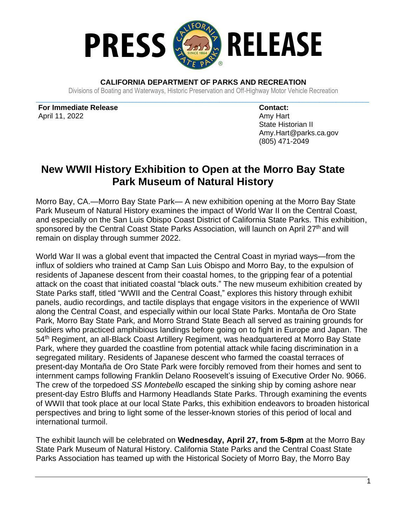

**CALIFORNIA DEPARTMENT OF PARKS AND RECREATION**

Divisions of Boating and Waterways, Historic Preservation and Off-Highway Motor Vehicle Recreation **\_\_\_\_\_\_\_\_\_\_\_\_\_\_\_\_\_\_\_\_\_\_\_\_\_\_\_\_\_\_\_\_\_\_\_\_\_\_\_\_\_\_\_\_\_\_\_\_\_\_\_\_\_\_\_\_\_\_\_\_\_\_\_\_\_\_\_\_\_\_\_\_\_\_\_\_\_\_\_\_\_\_\_\_\_\_\_\_\_\_\_\_\_\_\_\_\_\_\_\_**

**For Immediate Release** April 11, 2022

**Contact:** Amy Hart State Historian II Amy.Hart@parks.ca.gov (805) 471-2049

## **New WWII History Exhibition to Open at the Morro Bay State Park Museum of Natural History**

Morro Bay, CA.—Morro Bay State Park— A new exhibition opening at the Morro Bay State Park Museum of Natural History examines the impact of World War II on the Central Coast, and especially on the San Luis Obispo Coast District of California State Parks. This exhibition, sponsored by the Central Coast State Parks Association, will launch on April 27<sup>th</sup> and will remain on display through summer 2022.

World War II was a global event that impacted the Central Coast in myriad ways—from the influx of soldiers who trained at Camp San Luis Obispo and Morro Bay, to the expulsion of residents of Japanese descent from their coastal homes, to the gripping fear of a potential attack on the coast that initiated coastal "black outs." The new museum exhibition created by State Parks staff, titled "WWII and the Central Coast," explores this history through exhibit panels, audio recordings, and tactile displays that engage visitors in the experience of WWII along the Central Coast, and especially within our local State Parks. Montaña de Oro State Park, Morro Bay State Park, and Morro Strand State Beach all served as training grounds for soldiers who practiced amphibious landings before going on to fight in Europe and Japan. The 54th Regiment, an all-Black Coast Artillery Regiment, was headquartered at Morro Bay State Park, where they guarded the coastline from potential attack while facing discrimination in a segregated military. Residents of Japanese descent who farmed the coastal terraces of present-day Montaña de Oro State Park were forcibly removed from their homes and sent to internment camps following Franklin Delano Roosevelt's issuing of Executive Order No. 9066. The crew of the torpedoed *SS Montebello* escaped the sinking ship by coming ashore near present-day Estro Bluffs and Harmony Headlands State Parks. Through examining the events of WWII that took place at our local State Parks, this exhibition endeavors to broaden historical perspectives and bring to light some of the lesser-known stories of this period of local and international turmoil.

The exhibit launch will be celebrated on **Wednesday, April 27, from 5-8pm** at the Morro Bay State Park Museum of Natural History. California State Parks and the Central Coast State Parks Association has teamed up with the Historical Society of Morro Bay, the Morro Bay